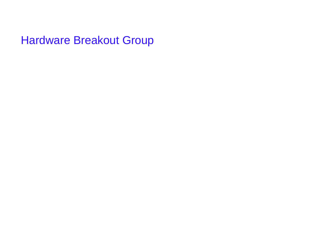Hardware Breakout Group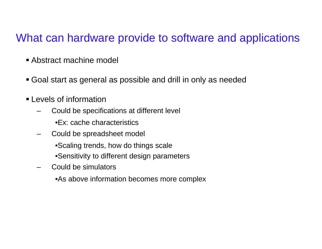### What can hardware provide to software and applications

- Abstract machine model
- Goal start as general as possible and drill in only as needed
- Levels of information
	- Could be specifications at different level
		- •Ex: cache characteristics
	- Could be spreadsheet model
		- •Scaling trends, how do things scale
		- •Sensitivity to different design parameters
	- Could be simulators
		- •As above information becomes more complex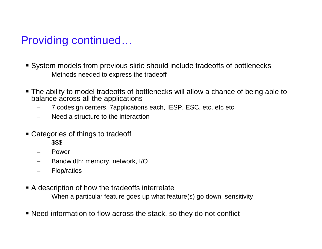# Providing continued…

- System models from previous slide should include tradeoffs of bottlenecks
	- Methods needed to express the tradeoff
- The ability to model tradeoffs of bottlenecks will allow <sup>a</sup> chance of being able to balance across all the applications
	- 7 codesign centers, 7applications each, IESP, ESC, etc. etc etc
	- Need a structure to the interaction
- Categories of things to tradeoff
	- \$\$\$
	- Power
	- Bandwidth: memory, network, I/O
	- Flop/ratios
- A description of how the tradeoffs interrelate
	- When <sup>a</sup> particular feature goes up what feature(s) go down, sensitivity
- Need information to flow across the stack, so they do not conflict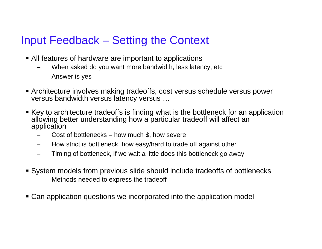# Input Feedback – Setting the Context

- All features of hardware are important to applications
	- When asked do you want more bandwidth, less latency, etc.
	- Answer is yes
- Architecture involves making tradeoffs, cost versus schedule versus power versus bandwidth versus latency versus …
- Key to architecture tradeoffs is finding what is the bottleneck for an application allowing better understanding how a particular tradeoff will affect an application
	- Cost of bottlenecks how much \$, how severe
	- How strict is bottleneck, how easy/hard to trade off against other
	- Timing of bottleneck, if we wait <sup>a</sup> little does this bottleneck go away
- System models from previous slide should include tradeoffs of bottlenecks
	- Methods needed to express the tradeoff
- Can application questions we incorporated into the application model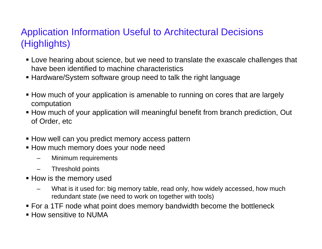#### Application Information Useful to Architectural Decisions (Highlights)

- Love hearing about science, but we need to translate the exascale challenges that have been identified to machine characteristics
- Hardware/System software group need to talk the right language
- How much of your application is amenable to running on cores that are largely computation
- How much of your application will meaningful benefit from branch prediction, Out of Order, etc
- **How well can you predict memory access pattern**
- **How much memory does your node need** 
	- Minimum requirements
	- Threshold points
- How is the memory used
	- What is it used for: big memory table, read only, how widely accessed, how much redundant state (we need to work on together with tools)
- For a 1TF node what point does memory bandwidth become the bottleneck
- How sensitive to NUMA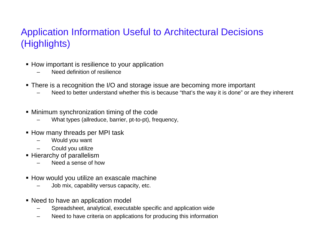#### Application Information Useful to Architectural Decisions (Highlights)

- How important is resilience to your application
	- Need definition of resilience
- There is <sup>a</sup> recognition the I/O and storage issue are becoming more important
	- Need to better understand whether this is because "that's the way it is done" or are they inherent
- Minimum synchronization timing of the code
	- What types (allreduce, barrier, pt-to-pt), frequency,
- How many threads per MPI task
	- Would you want
	- Could you utilize
- **Hierarchy of parallelism** 
	- Need a sense of how
- How would you utilize an exascale machine
	- Job mix, capability versus capacity, etc.
- Need to have an application model
	- Spreadsheet, analytical, executable specific and application wide
	- Need to have criteria on applications for producing this information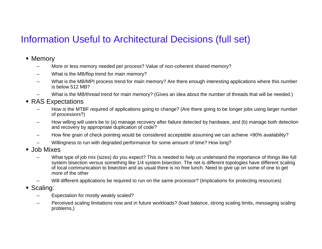### Information Useful to Architectural Decisions (full set)

- Memory
	- –More or less memory needed per process? Value of non-coherent shared memory?
	- –What is the MB/flop trend for main memory?
	- – What is the MB/MPI process trend for main memory? Are there enough interesting applications where this number is below 512 MB?
	- –What is the MB/thread trend for main memory? (Gives an idea about the number of threads that will be needed.)
- RAS Expectations
	- –– How is the MTBF required of applications going to change? (Are there going to be longer jobs using larger number of processors?)
	- – How willing will users be to (a) manage recovery after failure detected by hardware, and (b) manage both detection and recovery by appropriate duplication of code?
	- –How fine grain of check pointing would be considered acceptable assuming we can achieve >90% availability?
	- –Willingness to run with degraded performance for some amount of time? How long?
- Job Mixes
	- –What type of job mix (sizes) do you expect? This is needed to help us understand the importance of things like full system bisection versus something like 1/4 system bisection. The net is different topologies have different scaling of local communication to bisection and as usual there is no free lunch. Need to give up on some of one to get more of the other
	- –Will different applications be required to run on the same processor? (Implications for protecting resources)
- Scaling:
	- –Expectation for mostly weakly scaled?
	- – Perceived scaling limitations now and in future workloads? (load balance, strong scaling limits, messaging scaling problems,)